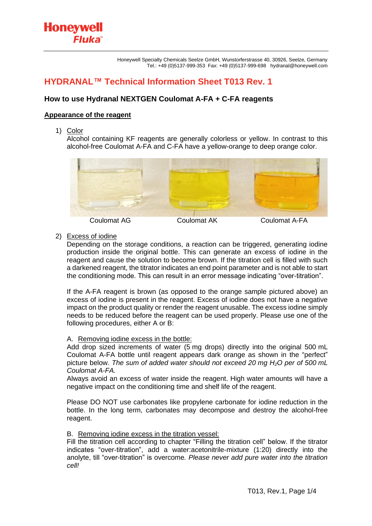# **HYDRANAL™ Technical Information Sheet T013 Rev. 1**

## **How to use Hydranal NEXTGEN Coulomat A-FA + C-FA reagents**

## **Appearance of the reagent**

Fluka<sup>®</sup>

1) Color

**Honeywell** 

Alcohol containing KF reagents are generally colorless or yellow. In contrast to this alcohol-free Coulomat A-FA and C-FA have a yellow-orange to deep orange color.



## 2) Excess of iodine

Depending on the storage conditions, a reaction can be triggered, generating iodine production inside the original bottle. This can generate an excess of iodine in the reagent and cause the solution to become brown. If the titration cell is filled with such a darkened reagent, the titrator indicates an end point parameter and is not able to start the conditioning mode. This can result in an error message indicating "over-titration".

If the A-FA reagent is brown (as opposed to the orange sample pictured above) an excess of iodine is present in the reagent. Excess of iodine does not have a negative impact on the product quality or render the reagent unusable. The excess iodine simply needs to be reduced before the reagent can be used properly. Please use one of the following procedures, either A or B:

#### A. Removing iodine excess in the bottle:

Add drop sized increments of water (5 mg drops) directly into the original 500 mL Coulomat A-FA bottle until reagent appears dark orange as shown in the "perfect" picture below. *The sum of added water should not exceed 20 mg H2O per of 500 mL Coulomat A-FA.*

Always avoid an excess of water inside the reagent. High water amounts will have a negative impact on the conditioning time and shelf life of the reagent.

Please DO NOT use carbonates like propylene carbonate for iodine reduction in the bottle. In the long term, carbonates may decompose and destroy the alcohol-free reagent.

#### B. Removing iodine excess in the titration vessel:

Fill the titration cell according to chapter "Filling the titration cell" below. If the titrator indicates "over-titration", add a water:acetonitrile-mixture (1:20) directly into the anolyte, till "over-titration" is overcome*. Please never add pure water into the titration cell!*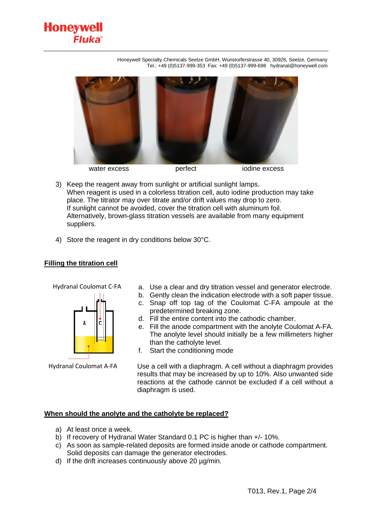**Fluka** 

Honeywell Specialty Chemicals Seelze GmbH, Wunstorferstrasse 40, 30926, Seelze, Germany Tel.: +49 (0)5137-999-353 Fax: +49 (0)5137-999-698 hydranal@honeywell.com



- 3) Keep the reagent away from sunlight or artificial sunlight lamps. When reagent is used in a colorless titration cell, auto iodine production may take place. The titrator may over titrate and/or drift values may drop to zero. If sunlight cannot be avoided, cover the titration cell with aluminum foil. Alternatively, brown-glass titration vessels are available from many equipment suppliers.
- 4) Store the reagent in dry conditions below 30°C.

## **Filling the titration cell**

**Honeywell** 

Hydranal Coulomat C-FA



Hydranal Coulomat A-FA

- a. Use a clear and dry titration vessel and generator electrode.
- b. Gently clean the indication electrode with a soft paper tissue. c. Snap off top tag of the Coulomat C-FA ampoule at the
- predetermined breaking zone.
- d. Fill the entire content into the cathodic chamber.
- e. Fill the anode compartment with the anolyte Coulomat A-FA. The anolyte level should initially be a few millimeters higher than the catholyte level.
- f. Start the conditioning mode

Use a cell with a diaphragm. A cell without a diaphragm provides results that may be increased by up to 10%. Also unwanted side reactions at the cathode cannot be excluded if a cell without a diaphragm is used.

## **When should the anolyte and the catholyte be replaced?**

- a) At least once a week.
- b) If recovery of Hydranal Water Standard 0.1 PC is higher than +/- 10%.
- c) As soon as sample-related deposits are formed inside anode or cathode compartment. Solid deposits can damage the generator electrodes.
- d) If the drift increases continuously above 20 µg/min.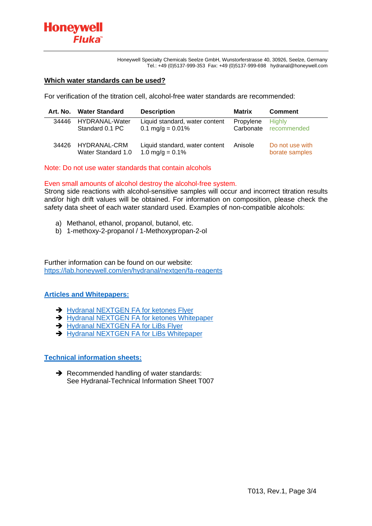Honeywell Specialty Chemicals Seelze GmbH, Wunstorferstrasse 40, 30926, Seelze, Germany Tel.: +49 (0)5137-999-353 Fax: +49 (0)5137-999-698 hydranal@honeywell.com

#### **Which water standards can be used?**

For verification of the titration cell, alcohol-free water standards are recommended:

|       | Art. No. Water Standard            | <b>Description</b>                                            | Matrix    | <b>Comment</b>                         |
|-------|------------------------------------|---------------------------------------------------------------|-----------|----------------------------------------|
| 34446 | HYDRANAL-Water<br>Standard 0.1 PC  | Liquid standard, water content<br>$0.1 \text{ mg/g} = 0.01\%$ | Propylene | <b>Highly</b><br>Carbonate recommended |
| 34426 | HYDRANAL-CRM<br>Water Standard 1.0 | Liquid standard, water content<br>1.0 mg/g = $0.1\%$          | Anisole   | Do not use with<br>borate samples      |

Note: Do not use water standards that contain alcohols

## Even small amounts of alcohol destroy the alcohol-free system.

Strong side reactions with alcohol-sensitive samples will occur and incorrect titration results and/or high drift values will be obtained. For information on composition, please check the safety data sheet of each water standard used. Examples of non-compatible alcohols:

- a) Methanol, ethanol, propanol, butanol, etc.
- b) 1-methoxy-2-propanol / 1-Methoxypropan-2-ol

Further information can be found on our website: <https://lab.honeywell.com/en/hydranal/nextgen/fa-reagents>

## **[Articles and Whitepapers:](https://lab.honeywell.com/en/search/resources-search?subcat=Articles%20and%20Whitepapers)**

- **→ Hydranal NEXTGEN [FA for ketones Flyer](https://lab.honeywell.com/content/dam/rc/en/resources/resource-library/brochures-and-flyers/hydranal-nextGen-fa-ketones-flyer.pdf)**
- ➔ Hydranal NEXTGEN [FA for ketones Whitepaper](https://lab.honeywell.com/content/dam/rc/en/resources/resource-library/articles-and-whitepapers/accurate-water-determination-in-ketones-with-hydranal-nextgen-coulomat-a-fa-and-c-fa-whitepaper.pdf)
- **→ Hydranal NEXTGEN [FA for LiBs Flyer](https://lab.honeywell.com/content/dam/rc/en/resources/resource-library/brochures-and-flyers/hydranal-nextgen-fa-reagents-lib-flyer-eng.pdf)**
- **→ Hydranal NEXTGEN [FA for LiBs Whitepaper](https://lab.honeywell.com/content/dam/rc/en/resources/resource-library/articles-and-whitepapers/accurate-water-determination-in-lithium-ion-batteries-with-hydranal-nextgen-coulomat-a-fa-and-c-fa.pdf)**

## **[Technical information sheets:](https://lab.honeywell.com/en/search/resources-search?subcat=Hydranal%20Technical%20Information%20Sheet)**

**→** Recommended handling of water standards: See Hydranal-Technical Information Sheet T007